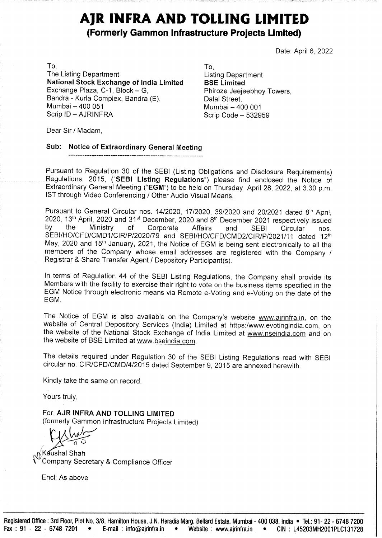# AJR INFRA AND TOLLING LIMITED (Formerly Gammon Infrastructure Projects Limited)

Date: April 6, 2022

 $\blacksquare$ The Listing Department **Listing Department** National Stock Exchange of India Limited BSE Limited Exchange Plaza, C-1, Block – G, Phiroze Jeejeebhoy Towers, Bandra - Kurla Complex, Bandra (E), Dalal Street, Mumbai — 400 051 Mumbai — 400 001 Scrip ID - AJRINFRA Scrip Code - 532959 

Dear Sir / Madam,

#### Sub: Notice of Extraordinary General Meeting

Pursuant to Regulation 30 of the SEBI (Listing Obligations and Disclosure Requirements) Regulations, 2015, ("SEBI ListIng Regulations') please find enclosed the Notice of Extraordinary General Meeting ("EGM") to be held on Thursday, April 28, 2022, at 3.30 p.m. IST through Video Conferencing / Other Audio Visual Means.

Pursuant to General Circular nos. 14/2020, 17/2020, 39/2020 and 20/2021 dated 8<sup>th</sup> April, 2020, 13<sup>th</sup> April, 2020 and 31<sup>st</sup> December, 2020 and 8<sup>th</sup> December 2021 respectively issued by the Ministry of Corporate Affairs Registrar & Share Transfer Agent / Depository Participant(s). Pursuant to Regulation 30 of the SEBI (Listing Regulations, 2015, ("SEBI Listing Regulations, 2015, ("SEBI Listing Regulations, 2015, ("SEBI Listing Regulations) (Strains) (Strains) (Of the Ministry Geomber, 2022, 13<sup>n</sup> A

In terms of Regulation 44 of the SEBI Listing Regulations, the Company shall provide its Members with the facility to exercise their right to vote on the business items specified in the EGM Notice through electronic means

The Notice of EGM is also available on the Company's website www.ajrinfra.in, on the website of Central Depository Services (India) Limited at https://www.evotingindia.com, on the website of the National Stock Exchange of the website of BSE Limited at www.bseindia.com.

The details required under Regulation 30 of the SEBI Listing Regulations read with SEBI circular no. CIR/CFD/CMD/4/2015 dated September 9, 2015 are annexed herewith.

Kindly take the same on record.

Yours truly,

For, AJR INFRA AND TOLLING LIMITED (formerly Gammon Infrastructure Projects Limited)

(Kaushal Shah Company Secretary & Compliance Officer

Encl: As above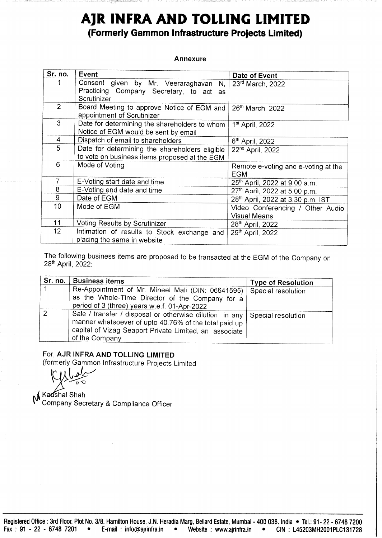# AJR INFRA AND TOLLING LIMITED (Formerly Gammon Infrastructure Projects Limited) AJR INFRA AND 7<br>(Formerly Gammon Infras **AJR INFRA AND 1**<br>(Formerly Gammon Infras<br>Annex<br>Sr. no. Event

#### Annexure

|                        | 18075<br>AJR INFRA AND TOLLING LIMITED<br>(Formerly Gammon Infrastructure Projects Limited)                                                                                                                                                  |                                                                                              |
|------------------------|----------------------------------------------------------------------------------------------------------------------------------------------------------------------------------------------------------------------------------------------|----------------------------------------------------------------------------------------------|
|                        |                                                                                                                                                                                                                                              |                                                                                              |
|                        |                                                                                                                                                                                                                                              |                                                                                              |
|                        |                                                                                                                                                                                                                                              |                                                                                              |
|                        |                                                                                                                                                                                                                                              |                                                                                              |
|                        |                                                                                                                                                                                                                                              |                                                                                              |
|                        |                                                                                                                                                                                                                                              |                                                                                              |
|                        | Annexure                                                                                                                                                                                                                                     |                                                                                              |
| Sr. no.<br>Event       |                                                                                                                                                                                                                                              | Date of Event                                                                                |
| 1                      | Consent<br>by Mr.<br>given<br>Veeraraghavan<br>N,<br>Practicing Company Secretary, to act as<br>Scrutinizer                                                                                                                                  | 23rd March, 2022                                                                             |
| $\overline{2}$         | Board Meeting to approve Notice of EGM and<br>appointment of Scrutinizer                                                                                                                                                                     | 26th March, 2022                                                                             |
| 3                      | Date for determining the shareholders to whom<br>Notice of EGM would be sent by email                                                                                                                                                        | 1 <sup>st</sup> April, 2022                                                                  |
| $\overline{4}$<br>5    | Dispatch of email to shareholders<br>Date for determining the shareholders eligible<br>to vote on business items proposed at the EGM                                                                                                         | 6 <sup>th</sup> April, 2022<br>22 <sup>nd</sup> April, 2022                                  |
| 6                      | Mode of Voting                                                                                                                                                                                                                               | Remote e-voting and e-voting at the<br><b>EGM</b>                                            |
| 7<br>8                 | E-Voting start date and time<br>E-Voting end date and time                                                                                                                                                                                   | 25 <sup>th</sup> April, 2022 at 9.00 a.m.<br>27th April, 2022 at 5.00 p.m.                   |
| $\boldsymbol{9}$<br>10 | Date of EGM<br>Mode of EGM                                                                                                                                                                                                                   | 28th April, 2022 at 3.30 p.m. IST<br>Video Conferencing / Other Audio<br><b>Visual Means</b> |
| 11<br>12               | <b>Voting Results by Scrutinizer</b><br>Intimation of results to Stock exchange and                                                                                                                                                          | 28th April, 2022<br>29th April, 2022                                                         |
| 28th April, 2022:      | placing the same in website<br>The following business items are proposed to be transacted at the EGM of the Company on                                                                                                                       |                                                                                              |
| Sr. no.<br>1           | <b>Business items</b><br>Re-Appointment of Mr. Mineel Mali (DIN: 06641595)<br>as the Whole-Time Director of the Company for a                                                                                                                | <b>Type of Resolution</b><br>Special resolution                                              |
| $\overline{2}$         | period of 3 (three) years w.e.f. 01-Apr-2022<br>Sale / transfer / disposal or otherwise dilution in any<br>manner whatsoever of upto 40.76% of the total paid up<br>capital of Vizag Seaport Private Limited, an associate<br>of the Company | Special resolution                                                                           |

| Sr. no. | <b>Business items</b>                                                                                                                                                                                             | <b>Type of Resolution</b> |
|---------|-------------------------------------------------------------------------------------------------------------------------------------------------------------------------------------------------------------------|---------------------------|
|         | Re-Appointment of Mr. Mineel Mali (DIN: 06641595)   Special resolution<br>as the Whole-Time Director of the Company for a<br>period of 3 (three) years w.e.f. 01-Apr-2022                                         |                           |
| 2       | Sale / transfer / disposal or otherwise dilution in any   Special resolution<br>manner whatsoever of upto 40.76% of the total paid up<br>capital of Vizag Seaport Private Limited, an associate<br>of the Company |                           |

# For, AJR INFRA AND TOLLING LIMITED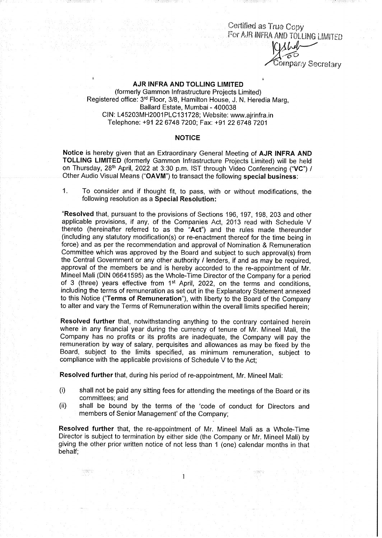Certified as True Copy<br>For AJR INFRA AND TOLLING LIMITED ompany Secretary

#### AJR INFRA AND TOLLING LIMITED

(formerly Gammon Infrastructure Projects Limited) Registered office: 3<sup>rd</sup> Floor, 3/8, Hamilton House, J. N. Heredia Marg, Ballard Estate, Mumbai - 400038 CIN: L45203MH2001PLC131728; Website: www.ajrinfra.in Telephone: +91 22 6748 7200; Fax: +91 22 6748 7201

#### **NOTICE**

Notice is hereby given that an Extraordinary General Meeting of AJR INFRA AND TOLLING LIMITED (formerly Gammon Infrastructure Projects Limited) will be held on Thursday, 28" April, 2022 at 3:30 p.m. IST through Video Conferencing ("VC") / Other Audio Visual Means ("OAVM") to transact the following special business:

1. To consider and if thought fit, to pass, with or without modifications, the following resolution as a Special Resolution:

"Resolved that, pursuant to the provisions of Sections 196, 197, 198, 203 and other applicable provisions, if any, of the Companies Act, 2013 read with Schedule V thereto (hereinafter referred to as the "Act") and the rules made thereunder (including any statutory modification(s) or re-enactment thereof for the time being in force) and as per the recommendation and approval of Nomination & Remuneration Committee which was approved by the Board and subject to such approval(s) from the Central Government or any other authority / lenders, if and as may be required, approval of the members be and is hereby accorded to the re-appointment of Mr. Mineel Mali (DIN 06641595) as the Whole-Time Director of the Company for a period of 3 (three) years effective from  $1<sup>st</sup>$  April, 2022, on the terms and conditions, including the terms of remuneration as set out in the Explanatory Statement annexed to this Notice ("Terms of Remuneration'), with liberty to the Board of the Company to alter and vary the Terms of Remuneration within the overall limits specified herein;

Resolved further that, notwithstanding anything to the contrary contained herein where in any financial year during the currency of tenure of Mr. Mineel Mali, the Company has no profits or its profits are inadequate, the Company will pay the remuneration by way of salary, perquisites and allowances as may be fixed by the Board, subject to the limits specified, as minimum remuneration, subject to compliance with the applicable provisions of Schedule V to the Act;

Resolved further that, during his period of re-appointment, Mr. Mineel Mali:

- (i) shall not be paid any sitting fees for attending the meetings of the Board or its committees; and
- (ii) shall be bound by the terms of the 'code of conduct for Directors and members of Senior Management' of the Company;

Resolved further that, the re-appointment of Mr. Mineel Mali as a Whole-Time Director is subject to termination by either side (the Company or Mr. Mineel Mali) by giving the other prior written notice of not less than 1 (one) calendar months in that behalf;

 $\mathbf{1}$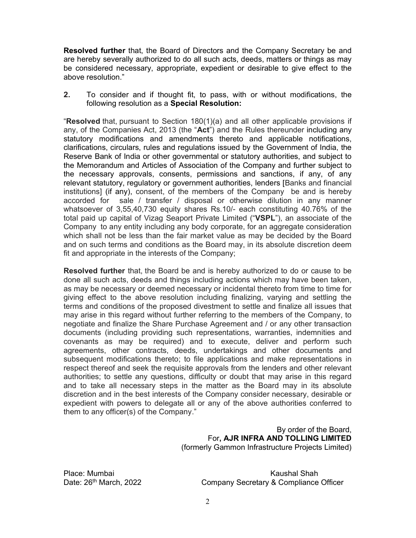Resolved further that, the Board of Directors and the Company Secretary be and are hereby severally authorized to do all such acts, deeds, matters or things as may be considered necessary, appropriate, expedient or desirable to give effect to the above resolution."

2. To consider and if thought fit, to pass, with or without modifications, the following resolution as a Special Resolution:

"Resolved that, pursuant to Section 180(1)(a) and all other applicable provisions if any, of the Companies Act, 2013 (the "Act") and the Rules thereunder including any statutory modifications and amendments thereto and applicable notifications, clarifications, circulars, rules and regulations issued by the Government of India, the Reserve Bank of India or other governmental or statutory authorities, and subject to the Memorandum and Articles of Association of the Company and further subject to the necessary approvals, consents, permissions and sanctions, if any, of any relevant statutory, regulatory or government authorities, lenders [Banks and financial institutions] (if any), consent, of the members of the Company be and is hereby accorded for sale / transfer / disposal or otherwise dilution in any manner whatsoever of 3,55,40,730 equity shares Rs.10/- each constituting 40.76% of the total paid up capital of Vizag Seaport Private Limited ("VSPL"), an associate of the Company to any entity including any body corporate, for an aggregate consideration which shall not be less than the fair market value as may be decided by the Board and on such terms and conditions as the Board may, in its absolute discretion deem fit and appropriate in the interests of the Company;

Resolved further that, the Board be and is hereby authorized to do or cause to be done all such acts, deeds and things including actions which may have been taken, as may be necessary or deemed necessary or incidental thereto from time to time for giving effect to the above resolution including finalizing, varying and settling the terms and conditions of the proposed divestment to settle and finalize all issues that may arise in this regard without further referring to the members of the Company, to negotiate and finalize the Share Purchase Agreement and / or any other transaction documents (including providing such representations, warranties, indemnities and covenants as may be required) and to execute, deliver and perform such agreements, other contracts, deeds, undertakings and other documents and subsequent modifications thereto; to file applications and make representations in respect thereof and seek the requisite approvals from the lenders and other relevant authorities; to settle any questions, difficulty or doubt that may arise in this regard and to take all necessary steps in the matter as the Board may in its absolute discretion and in the best interests of the Company consider necessary, desirable or expedient with powers to delegate all or any of the above authorities conferred to them to any officer(s) of the Company."

> By order of the Board, For, AJR INFRA AND TOLLING LIMITED (formerly Gammon Infrastructure Projects Limited)

Place: Mumbai Kaushal Shah Date: 26<sup>th</sup> March, 2022 Company Secretary & Compliance Officer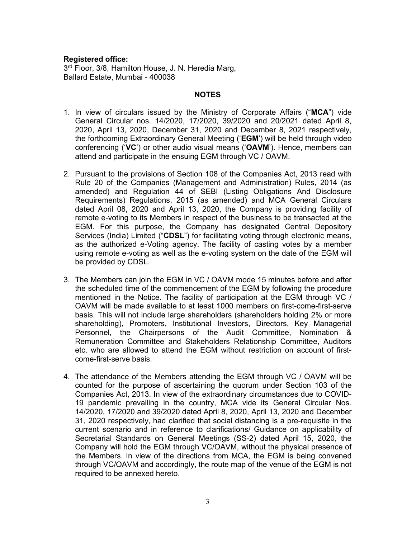#### Registered office:

3<sup>rd</sup> Floor, 3/8, Hamilton House, J. N. Heredia Marg, Ballard Estate, Mumbai - 400038

#### NOTES

- 1. In view of circulars issued by the Ministry of Corporate Affairs ("MCA") vide General Circular nos. 14/2020, 17/2020, 39/2020 and 20/2021 dated April 8, 2020, April 13, 2020, December 31, 2020 and December 8, 2021 respectively, the forthcoming Extraordinary General Meeting ('EGM') will be held through video conferencing ('VC') or other audio visual means ('OAVM'). Hence, members can attend and participate in the ensuing EGM through VC / OAVM.
- 2. Pursuant to the provisions of Section 108 of the Companies Act, 2013 read with Rule 20 of the Companies (Management and Administration) Rules, 2014 (as amended) and Regulation 44 of SEBI (Listing Obligations And Disclosure Requirements) Regulations, 2015 (as amended) and MCA General Circulars dated April 08, 2020 and April 13, 2020, the Company is providing facility of remote e-voting to its Members in respect of the business to be transacted at the EGM. For this purpose, the Company has designated Central Depository Services (India) Limited ("CDSL") for facilitating voting through electronic means, as the authorized e-Voting agency. The facility of casting votes by a member using remote e-voting as well as the e-voting system on the date of the EGM will be provided by CDSL.
- 3. The Members can join the EGM in VC / OAVM mode 15 minutes before and after the scheduled time of the commencement of the EGM by following the procedure mentioned in the Notice. The facility of participation at the EGM through VC / OAVM will be made available to at least 1000 members on first-come-first-serve basis. This will not include large shareholders (shareholders holding 2% or more shareholding), Promoters, Institutional Investors, Directors, Key Managerial Personnel, the Chairpersons of the Audit Committee, Nomination & Remuneration Committee and Stakeholders Relationship Committee, Auditors etc. who are allowed to attend the EGM without restriction on account of firstcome-first-serve basis.
- 4. The attendance of the Members attending the EGM through VC / OAVM will be counted for the purpose of ascertaining the quorum under Section 103 of the Companies Act, 2013. In view of the extraordinary circumstances due to COVID-19 pandemic prevailing in the country, MCA vide its General Circular Nos. 14/2020, 17/2020 and 39/2020 dated April 8, 2020, April 13, 2020 and December 31, 2020 respectively, had clarified that social distancing is a pre-requisite in the current scenario and in reference to clarifications/ Guidance on applicability of Secretarial Standards on General Meetings (SS-2) dated April 15, 2020, the Company will hold the EGM through VC/OAVM, without the physical presence of the Members. In view of the directions from MCA, the EGM is being convened through VC/OAVM and accordingly, the route map of the venue of the EGM is not required to be annexed hereto.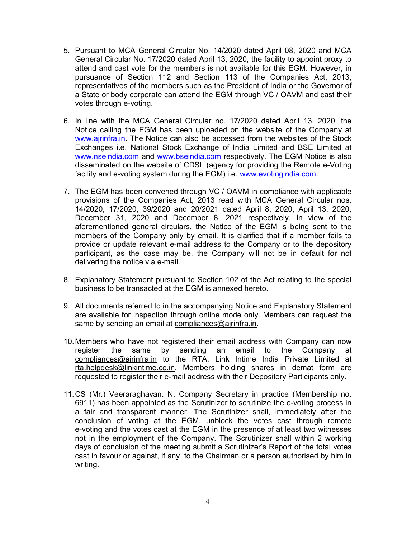- 5. Pursuant to MCA General Circular No. 14/2020 dated April 08, 2020 and MCA General Circular No. 17/2020 dated April 13, 2020, the facility to appoint proxy to attend and cast vote for the members is not available for this EGM. However, in pursuance of Section 112 and Section 113 of the Companies Act, 2013, representatives of the members such as the President of India or the Governor of a State or body corporate can attend the EGM through VC / OAVM and cast their votes through e-voting.
- 6. In line with the MCA General Circular no. 17/2020 dated April 13, 2020, the Notice calling the EGM has been uploaded on the website of the Company at www.ajrinfra.in. The Notice can also be accessed from the websites of the Stock Exchanges i.e. National Stock Exchange of India Limited and BSE Limited at www.nseindia.com and www.bseindia.com respectively. The EGM Notice is also disseminated on the website of CDSL (agency for providing the Remote e-Voting facility and e-voting system during the EGM) i.e. www.evotingindia.com.
- 7. The EGM has been convened through VC / OAVM in compliance with applicable provisions of the Companies Act, 2013 read with MCA General Circular nos. 14/2020, 17/2020, 39/2020 and 20/2021 dated April 8, 2020, April 13, 2020, December 31, 2020 and December 8, 2021 respectively. In view of the aforementioned general circulars, the Notice of the EGM is being sent to the members of the Company only by email. It is clarified that if a member fails to provide or update relevant e-mail address to the Company or to the depository participant, as the case may be, the Company will not be in default for not delivering the notice via e-mail.
- 8. Explanatory Statement pursuant to Section 102 of the Act relating to the special business to be transacted at the EGM is annexed hereto.
- 9. All documents referred to in the accompanying Notice and Explanatory Statement are available for inspection through online mode only. Members can request the same by sending an email at compliances@ajrinfra.in.
- 10. Members who have not registered their email address with Company can now register the same by sending an email to the Company at compliances@ajrinfra.in to the RTA, Link Intime India Private Limited at rta.helpdesk@linkintime.co.in. Members holding shares in demat form are requested to register their e-mail address with their Depository Participants only.
- 11. CS (Mr.) Veeraraghavan. N, Company Secretary in practice (Membership no. 6911) has been appointed as the Scrutinizer to scrutinize the e-voting process in a fair and transparent manner. The Scrutinizer shall, immediately after the conclusion of voting at the EGM, unblock the votes cast through remote e-voting and the votes cast at the EGM in the presence of at least two witnesses not in the employment of the Company. The Scrutinizer shall within 2 working days of conclusion of the meeting submit a Scrutinizer's Report of the total votes cast in favour or against, if any, to the Chairman or a person authorised by him in writing.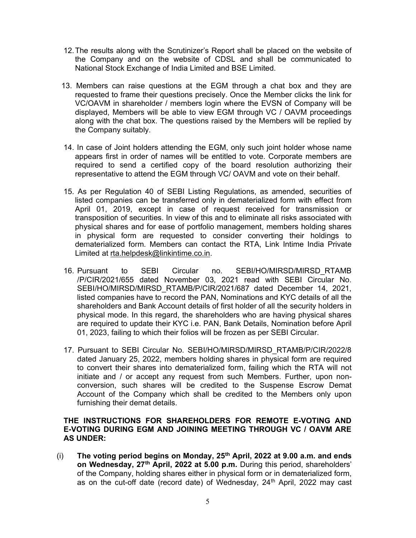- 12. The results along with the Scrutinizer's Report shall be placed on the website of the Company and on the website of CDSL and shall be communicated to National Stock Exchange of India Limited and BSE Limited.
- 13. Members can raise questions at the EGM through a chat box and they are requested to frame their questions precisely. Once the Member clicks the link for VC/OAVM in shareholder / members login where the EVSN of Company will be displayed, Members will be able to view EGM through VC / OAVM proceedings along with the chat box. The questions raised by the Members will be replied by the Company suitably.
- 14. In case of Joint holders attending the EGM, only such joint holder whose name appears first in order of names will be entitled to vote. Corporate members are required to send a certified copy of the board resolution authorizing their representative to attend the EGM through VC/ OAVM and vote on their behalf.
- 15. As per Regulation 40 of SEBI Listing Regulations, as amended, securities of listed companies can be transferred only in dematerialized form with effect from April 01, 2019, except in case of request received for transmission or transposition of securities. In view of this and to eliminate all risks associated with physical shares and for ease of portfolio management, members holding shares in physical form are requested to consider converting their holdings to dematerialized form. Members can contact the RTA, Link Intime India Private Limited at rta.helpdesk@linkintime.co.in.
- 16. Pursuant to SEBI Circular no. SEBI/HO/MIRSD/MIRSD\_RTAMB /P/CIR/2021/655 dated November 03, 2021 read with SEBI Circular No. SEBI/HO/MIRSD/MIRSD\_RTAMB/P/CIR/2021/687 dated December 14, 2021, listed companies have to record the PAN, Nominations and KYC details of all the shareholders and Bank Account details of first holder of all the security holders in physical mode. In this regard, the shareholders who are having physical shares are required to update their KYC i.e. PAN, Bank Details, Nomination before April 01, 2023, failing to which their folios will be frozen as per SEBI Circular.
- 17. Pursuant to SEBI Circular No. SEBI/HO/MIRSD/MIRSD\_RTAMB/P/CIR/2022/8 dated January 25, 2022, members holding shares in physical form are required to convert their shares into dematerialized form, failing which the RTA will not initiate and / or accept any request from such Members. Further, upon nonconversion, such shares will be credited to the Suspense Escrow Demat Account of the Company which shall be credited to the Members only upon furnishing their demat details.

# THE INSTRUCTIONS FOR SHAREHOLDERS FOR REMOTE E-VOTING AND E-VOTING DURING EGM AND JOINING MEETING THROUGH VC / OAVM ARE AS UNDER:

(i) The voting period begins on Monday,  $25<sup>th</sup>$  April, 2022 at 9.00 a.m. and ends on Wednesday, 27th April, 2022 at 5.00 p.m. During this period, shareholders' of the Company, holding shares either in physical form or in dematerialized form, as on the cut-off date (record date) of Wednesday, 24<sup>th</sup> April, 2022 may cast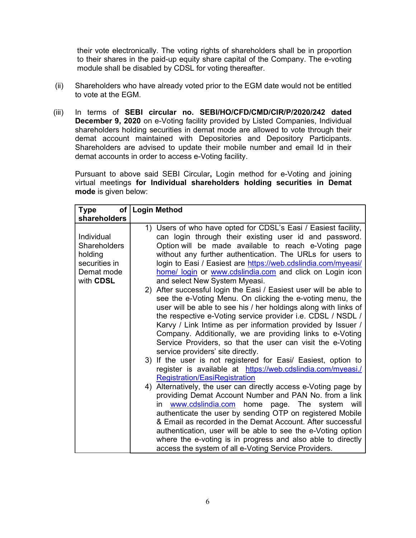their vote electronically. The voting rights of shareholders shall be in proportion to their shares in the paid-up equity share capital of the Company. The e-voting module shall be disabled by CDSL for voting thereafter.

- (ii) Shareholders who have already voted prior to the EGM date would not be entitled to vote at the EGM.
- (iii) In terms of SEBI circular no. SEBI/HO/CFD/CMD/CIR/P/2020/242 dated December 9, 2020 on e-Voting facility provided by Listed Companies, Individual shareholders holding securities in demat mode are allowed to vote through their demat account maintained with Depositories and Depository Participants. Shareholders are advised to update their mobile number and email Id in their demat accounts in order to access e-Voting facility.

Pursuant to above said SEBI Circular, Login method for e-Voting and joining virtual meetings for Individual shareholders holding securities in Demat mode is given below:

| Type                                                                                     | of   Login Method                                                                                                                                                                                                                                                                                                                                                                                                                                                                                                                                                                                                                                                                                                                                                                                                                                                                                                                                                                                                                                                                                                                                                                                                                                                                                                                                                                                                                                                                                                                                                                           |
|------------------------------------------------------------------------------------------|---------------------------------------------------------------------------------------------------------------------------------------------------------------------------------------------------------------------------------------------------------------------------------------------------------------------------------------------------------------------------------------------------------------------------------------------------------------------------------------------------------------------------------------------------------------------------------------------------------------------------------------------------------------------------------------------------------------------------------------------------------------------------------------------------------------------------------------------------------------------------------------------------------------------------------------------------------------------------------------------------------------------------------------------------------------------------------------------------------------------------------------------------------------------------------------------------------------------------------------------------------------------------------------------------------------------------------------------------------------------------------------------------------------------------------------------------------------------------------------------------------------------------------------------------------------------------------------------|
| shareholders                                                                             |                                                                                                                                                                                                                                                                                                                                                                                                                                                                                                                                                                                                                                                                                                                                                                                                                                                                                                                                                                                                                                                                                                                                                                                                                                                                                                                                                                                                                                                                                                                                                                                             |
| Individual<br><b>Shareholders</b><br>holding<br>securities in<br>Demat mode<br>with CDSL | 1) Users of who have opted for CDSL's Easi / Easiest facility,<br>can login through their existing user id and password.<br>Option will be made available to reach e-Voting page<br>without any further authentication. The URLs for users to<br>login to Easi / Easiest are https://web.cdslindia.com/myeasi/<br>home/ login or www.cdslindia.com and click on Login icon<br>and select New System Myeasi.<br>2) After successful login the Easi / Easiest user will be able to<br>see the e-Voting Menu. On clicking the e-voting menu, the<br>user will be able to see his / her holdings along with links of<br>the respective e-Voting service provider i.e. CDSL / NSDL /<br>Karvy / Link Intime as per information provided by Issuer /<br>Company. Additionally, we are providing links to e-Voting<br>Service Providers, so that the user can visit the e-Voting<br>service providers' site directly.<br>3) If the user is not registered for Easi/ Easiest, option to<br>register is available at https://web.cdslindia.com/myeasi./<br><b>Registration/EasiRegistration</b><br>4) Alternatively, the user can directly access e-Voting page by<br>providing Demat Account Number and PAN No. from a link<br>www.cdslindia.com home page. The system will<br>in<br>authenticate the user by sending OTP on registered Mobile<br>& Email as recorded in the Demat Account. After successful<br>authentication, user will be able to see the e-Voting option<br>where the e-voting is in progress and also able to directly<br>access the system of all e-Voting Service Providers. |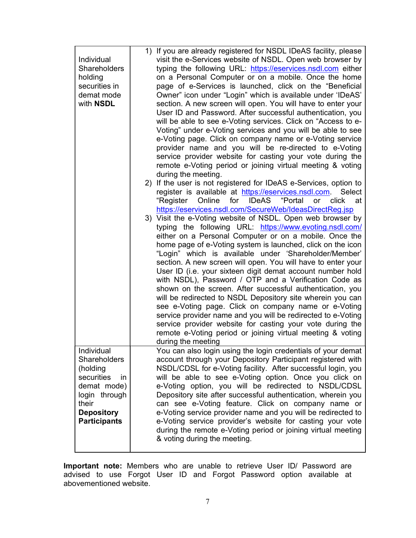| on a Personal Computer or on a mobile. Once the home<br>holding<br>securities in<br>page of e-Services is launched, click on the "Beneficial<br>demat mode<br>Owner" icon under "Login" which is available under 'IDeAS'<br>with <b>NSDL</b><br>section. A new screen will open. You will have to enter your<br>User ID and Password. After successful authentication, you<br>will be able to see e-Voting services. Click on "Access to e-<br>Voting" under e-Voting services and you will be able to see<br>e-Voting page. Click on company name or e-Voting service<br>provider name and you will be re-directed to e-Voting<br>service provider website for casting your vote during the<br>remote e-Voting period or joining virtual meeting & voting<br>during the meeting.<br>2) If the user is not registered for IDeAS e-Services, option to<br>register is available at https://eservices.nsdl.com.<br>Select<br>IDeAS "Portal<br>for<br>"Register<br>Online<br>click<br><b>or</b><br>at<br>https://eservices.nsdl.com/SecureWeb/IdeasDirectReg.jsp<br>3) Visit the e-Voting website of NSDL. Open web browser by<br>typing the following URL: https://www.evoting.nsdl.com/<br>either on a Personal Computer or on a mobile. Once the<br>home page of e-Voting system is launched, click on the icon<br>"Login" which is available under 'Shareholder/Member'<br>section. A new screen will open. You will have to enter your<br>User ID (i.e. your sixteen digit demat account number hold<br>with NSDL), Password / OTP and a Verification Code as<br>shown on the screen. After successful authentication, you<br>will be redirected to NSDL Depository site wherein you can<br>see e-Voting page. Click on company name or e-Voting<br>service provider name and you will be redirected to e-Voting<br>service provider website for casting your vote during the<br>remote e-Voting period or joining virtual meeting & voting<br>during the meeting<br>You can also login using the login credentials of your demat<br>Individual<br><b>Shareholders</b><br>account through your Depository Participant registered with<br>NSDL/CDSL for e-Voting facility. After successful login, you<br>(holding<br>will be able to see e-Voting option. Once you click on<br>securities<br>in<br>demat mode)<br>e-Voting option, you will be redirected to NSDL/CDSL<br>Depository site after successful authentication, wherein you<br>login through<br>can see e-Voting feature. Click on company name or<br>their<br>e-Voting service provider name and you will be redirected to<br><b>Depository</b><br>e-Voting service provider's website for casting your vote<br><b>Participants</b> | Individual<br>Shareholders | 1) If you are already registered for NSDL IDeAS facility, please<br>visit the e-Services website of NSDL. Open web browser by<br>typing the following URL: https://eservices.nsdl.com either |
|---------------------------------------------------------------------------------------------------------------------------------------------------------------------------------------------------------------------------------------------------------------------------------------------------------------------------------------------------------------------------------------------------------------------------------------------------------------------------------------------------------------------------------------------------------------------------------------------------------------------------------------------------------------------------------------------------------------------------------------------------------------------------------------------------------------------------------------------------------------------------------------------------------------------------------------------------------------------------------------------------------------------------------------------------------------------------------------------------------------------------------------------------------------------------------------------------------------------------------------------------------------------------------------------------------------------------------------------------------------------------------------------------------------------------------------------------------------------------------------------------------------------------------------------------------------------------------------------------------------------------------------------------------------------------------------------------------------------------------------------------------------------------------------------------------------------------------------------------------------------------------------------------------------------------------------------------------------------------------------------------------------------------------------------------------------------------------------------------------------------------------------------------------------------------------------------------------------------------------------------------------------------------------------------------------------------------------------------------------------------------------------------------------------------------------------------------------------------------------------------------------------------------------------------------------------------------------------------------------------------------------------------------------------------------------------------------|----------------------------|----------------------------------------------------------------------------------------------------------------------------------------------------------------------------------------------|
|                                                                                                                                                                                                                                                                                                                                                                                                                                                                                                                                                                                                                                                                                                                                                                                                                                                                                                                                                                                                                                                                                                                                                                                                                                                                                                                                                                                                                                                                                                                                                                                                                                                                                                                                                                                                                                                                                                                                                                                                                                                                                                                                                                                                                                                                                                                                                                                                                                                                                                                                                                                                                                                                                                   |                            |                                                                                                                                                                                              |
|                                                                                                                                                                                                                                                                                                                                                                                                                                                                                                                                                                                                                                                                                                                                                                                                                                                                                                                                                                                                                                                                                                                                                                                                                                                                                                                                                                                                                                                                                                                                                                                                                                                                                                                                                                                                                                                                                                                                                                                                                                                                                                                                                                                                                                                                                                                                                                                                                                                                                                                                                                                                                                                                                                   |                            |                                                                                                                                                                                              |
|                                                                                                                                                                                                                                                                                                                                                                                                                                                                                                                                                                                                                                                                                                                                                                                                                                                                                                                                                                                                                                                                                                                                                                                                                                                                                                                                                                                                                                                                                                                                                                                                                                                                                                                                                                                                                                                                                                                                                                                                                                                                                                                                                                                                                                                                                                                                                                                                                                                                                                                                                                                                                                                                                                   |                            |                                                                                                                                                                                              |
|                                                                                                                                                                                                                                                                                                                                                                                                                                                                                                                                                                                                                                                                                                                                                                                                                                                                                                                                                                                                                                                                                                                                                                                                                                                                                                                                                                                                                                                                                                                                                                                                                                                                                                                                                                                                                                                                                                                                                                                                                                                                                                                                                                                                                                                                                                                                                                                                                                                                                                                                                                                                                                                                                                   |                            |                                                                                                                                                                                              |
|                                                                                                                                                                                                                                                                                                                                                                                                                                                                                                                                                                                                                                                                                                                                                                                                                                                                                                                                                                                                                                                                                                                                                                                                                                                                                                                                                                                                                                                                                                                                                                                                                                                                                                                                                                                                                                                                                                                                                                                                                                                                                                                                                                                                                                                                                                                                                                                                                                                                                                                                                                                                                                                                                                   |                            |                                                                                                                                                                                              |
|                                                                                                                                                                                                                                                                                                                                                                                                                                                                                                                                                                                                                                                                                                                                                                                                                                                                                                                                                                                                                                                                                                                                                                                                                                                                                                                                                                                                                                                                                                                                                                                                                                                                                                                                                                                                                                                                                                                                                                                                                                                                                                                                                                                                                                                                                                                                                                                                                                                                                                                                                                                                                                                                                                   |                            |                                                                                                                                                                                              |
|                                                                                                                                                                                                                                                                                                                                                                                                                                                                                                                                                                                                                                                                                                                                                                                                                                                                                                                                                                                                                                                                                                                                                                                                                                                                                                                                                                                                                                                                                                                                                                                                                                                                                                                                                                                                                                                                                                                                                                                                                                                                                                                                                                                                                                                                                                                                                                                                                                                                                                                                                                                                                                                                                                   |                            |                                                                                                                                                                                              |
|                                                                                                                                                                                                                                                                                                                                                                                                                                                                                                                                                                                                                                                                                                                                                                                                                                                                                                                                                                                                                                                                                                                                                                                                                                                                                                                                                                                                                                                                                                                                                                                                                                                                                                                                                                                                                                                                                                                                                                                                                                                                                                                                                                                                                                                                                                                                                                                                                                                                                                                                                                                                                                                                                                   |                            |                                                                                                                                                                                              |
|                                                                                                                                                                                                                                                                                                                                                                                                                                                                                                                                                                                                                                                                                                                                                                                                                                                                                                                                                                                                                                                                                                                                                                                                                                                                                                                                                                                                                                                                                                                                                                                                                                                                                                                                                                                                                                                                                                                                                                                                                                                                                                                                                                                                                                                                                                                                                                                                                                                                                                                                                                                                                                                                                                   |                            |                                                                                                                                                                                              |
|                                                                                                                                                                                                                                                                                                                                                                                                                                                                                                                                                                                                                                                                                                                                                                                                                                                                                                                                                                                                                                                                                                                                                                                                                                                                                                                                                                                                                                                                                                                                                                                                                                                                                                                                                                                                                                                                                                                                                                                                                                                                                                                                                                                                                                                                                                                                                                                                                                                                                                                                                                                                                                                                                                   |                            |                                                                                                                                                                                              |
|                                                                                                                                                                                                                                                                                                                                                                                                                                                                                                                                                                                                                                                                                                                                                                                                                                                                                                                                                                                                                                                                                                                                                                                                                                                                                                                                                                                                                                                                                                                                                                                                                                                                                                                                                                                                                                                                                                                                                                                                                                                                                                                                                                                                                                                                                                                                                                                                                                                                                                                                                                                                                                                                                                   |                            |                                                                                                                                                                                              |
|                                                                                                                                                                                                                                                                                                                                                                                                                                                                                                                                                                                                                                                                                                                                                                                                                                                                                                                                                                                                                                                                                                                                                                                                                                                                                                                                                                                                                                                                                                                                                                                                                                                                                                                                                                                                                                                                                                                                                                                                                                                                                                                                                                                                                                                                                                                                                                                                                                                                                                                                                                                                                                                                                                   |                            |                                                                                                                                                                                              |
|                                                                                                                                                                                                                                                                                                                                                                                                                                                                                                                                                                                                                                                                                                                                                                                                                                                                                                                                                                                                                                                                                                                                                                                                                                                                                                                                                                                                                                                                                                                                                                                                                                                                                                                                                                                                                                                                                                                                                                                                                                                                                                                                                                                                                                                                                                                                                                                                                                                                                                                                                                                                                                                                                                   |                            |                                                                                                                                                                                              |
|                                                                                                                                                                                                                                                                                                                                                                                                                                                                                                                                                                                                                                                                                                                                                                                                                                                                                                                                                                                                                                                                                                                                                                                                                                                                                                                                                                                                                                                                                                                                                                                                                                                                                                                                                                                                                                                                                                                                                                                                                                                                                                                                                                                                                                                                                                                                                                                                                                                                                                                                                                                                                                                                                                   |                            |                                                                                                                                                                                              |
|                                                                                                                                                                                                                                                                                                                                                                                                                                                                                                                                                                                                                                                                                                                                                                                                                                                                                                                                                                                                                                                                                                                                                                                                                                                                                                                                                                                                                                                                                                                                                                                                                                                                                                                                                                                                                                                                                                                                                                                                                                                                                                                                                                                                                                                                                                                                                                                                                                                                                                                                                                                                                                                                                                   |                            |                                                                                                                                                                                              |
|                                                                                                                                                                                                                                                                                                                                                                                                                                                                                                                                                                                                                                                                                                                                                                                                                                                                                                                                                                                                                                                                                                                                                                                                                                                                                                                                                                                                                                                                                                                                                                                                                                                                                                                                                                                                                                                                                                                                                                                                                                                                                                                                                                                                                                                                                                                                                                                                                                                                                                                                                                                                                                                                                                   |                            |                                                                                                                                                                                              |
|                                                                                                                                                                                                                                                                                                                                                                                                                                                                                                                                                                                                                                                                                                                                                                                                                                                                                                                                                                                                                                                                                                                                                                                                                                                                                                                                                                                                                                                                                                                                                                                                                                                                                                                                                                                                                                                                                                                                                                                                                                                                                                                                                                                                                                                                                                                                                                                                                                                                                                                                                                                                                                                                                                   |                            |                                                                                                                                                                                              |
|                                                                                                                                                                                                                                                                                                                                                                                                                                                                                                                                                                                                                                                                                                                                                                                                                                                                                                                                                                                                                                                                                                                                                                                                                                                                                                                                                                                                                                                                                                                                                                                                                                                                                                                                                                                                                                                                                                                                                                                                                                                                                                                                                                                                                                                                                                                                                                                                                                                                                                                                                                                                                                                                                                   |                            |                                                                                                                                                                                              |
|                                                                                                                                                                                                                                                                                                                                                                                                                                                                                                                                                                                                                                                                                                                                                                                                                                                                                                                                                                                                                                                                                                                                                                                                                                                                                                                                                                                                                                                                                                                                                                                                                                                                                                                                                                                                                                                                                                                                                                                                                                                                                                                                                                                                                                                                                                                                                                                                                                                                                                                                                                                                                                                                                                   |                            |                                                                                                                                                                                              |
|                                                                                                                                                                                                                                                                                                                                                                                                                                                                                                                                                                                                                                                                                                                                                                                                                                                                                                                                                                                                                                                                                                                                                                                                                                                                                                                                                                                                                                                                                                                                                                                                                                                                                                                                                                                                                                                                                                                                                                                                                                                                                                                                                                                                                                                                                                                                                                                                                                                                                                                                                                                                                                                                                                   |                            |                                                                                                                                                                                              |
|                                                                                                                                                                                                                                                                                                                                                                                                                                                                                                                                                                                                                                                                                                                                                                                                                                                                                                                                                                                                                                                                                                                                                                                                                                                                                                                                                                                                                                                                                                                                                                                                                                                                                                                                                                                                                                                                                                                                                                                                                                                                                                                                                                                                                                                                                                                                                                                                                                                                                                                                                                                                                                                                                                   |                            |                                                                                                                                                                                              |
|                                                                                                                                                                                                                                                                                                                                                                                                                                                                                                                                                                                                                                                                                                                                                                                                                                                                                                                                                                                                                                                                                                                                                                                                                                                                                                                                                                                                                                                                                                                                                                                                                                                                                                                                                                                                                                                                                                                                                                                                                                                                                                                                                                                                                                                                                                                                                                                                                                                                                                                                                                                                                                                                                                   |                            |                                                                                                                                                                                              |
|                                                                                                                                                                                                                                                                                                                                                                                                                                                                                                                                                                                                                                                                                                                                                                                                                                                                                                                                                                                                                                                                                                                                                                                                                                                                                                                                                                                                                                                                                                                                                                                                                                                                                                                                                                                                                                                                                                                                                                                                                                                                                                                                                                                                                                                                                                                                                                                                                                                                                                                                                                                                                                                                                                   |                            |                                                                                                                                                                                              |
|                                                                                                                                                                                                                                                                                                                                                                                                                                                                                                                                                                                                                                                                                                                                                                                                                                                                                                                                                                                                                                                                                                                                                                                                                                                                                                                                                                                                                                                                                                                                                                                                                                                                                                                                                                                                                                                                                                                                                                                                                                                                                                                                                                                                                                                                                                                                                                                                                                                                                                                                                                                                                                                                                                   |                            |                                                                                                                                                                                              |
|                                                                                                                                                                                                                                                                                                                                                                                                                                                                                                                                                                                                                                                                                                                                                                                                                                                                                                                                                                                                                                                                                                                                                                                                                                                                                                                                                                                                                                                                                                                                                                                                                                                                                                                                                                                                                                                                                                                                                                                                                                                                                                                                                                                                                                                                                                                                                                                                                                                                                                                                                                                                                                                                                                   |                            |                                                                                                                                                                                              |
|                                                                                                                                                                                                                                                                                                                                                                                                                                                                                                                                                                                                                                                                                                                                                                                                                                                                                                                                                                                                                                                                                                                                                                                                                                                                                                                                                                                                                                                                                                                                                                                                                                                                                                                                                                                                                                                                                                                                                                                                                                                                                                                                                                                                                                                                                                                                                                                                                                                                                                                                                                                                                                                                                                   |                            |                                                                                                                                                                                              |
|                                                                                                                                                                                                                                                                                                                                                                                                                                                                                                                                                                                                                                                                                                                                                                                                                                                                                                                                                                                                                                                                                                                                                                                                                                                                                                                                                                                                                                                                                                                                                                                                                                                                                                                                                                                                                                                                                                                                                                                                                                                                                                                                                                                                                                                                                                                                                                                                                                                                                                                                                                                                                                                                                                   |                            |                                                                                                                                                                                              |
|                                                                                                                                                                                                                                                                                                                                                                                                                                                                                                                                                                                                                                                                                                                                                                                                                                                                                                                                                                                                                                                                                                                                                                                                                                                                                                                                                                                                                                                                                                                                                                                                                                                                                                                                                                                                                                                                                                                                                                                                                                                                                                                                                                                                                                                                                                                                                                                                                                                                                                                                                                                                                                                                                                   |                            |                                                                                                                                                                                              |
|                                                                                                                                                                                                                                                                                                                                                                                                                                                                                                                                                                                                                                                                                                                                                                                                                                                                                                                                                                                                                                                                                                                                                                                                                                                                                                                                                                                                                                                                                                                                                                                                                                                                                                                                                                                                                                                                                                                                                                                                                                                                                                                                                                                                                                                                                                                                                                                                                                                                                                                                                                                                                                                                                                   |                            |                                                                                                                                                                                              |
|                                                                                                                                                                                                                                                                                                                                                                                                                                                                                                                                                                                                                                                                                                                                                                                                                                                                                                                                                                                                                                                                                                                                                                                                                                                                                                                                                                                                                                                                                                                                                                                                                                                                                                                                                                                                                                                                                                                                                                                                                                                                                                                                                                                                                                                                                                                                                                                                                                                                                                                                                                                                                                                                                                   |                            |                                                                                                                                                                                              |
|                                                                                                                                                                                                                                                                                                                                                                                                                                                                                                                                                                                                                                                                                                                                                                                                                                                                                                                                                                                                                                                                                                                                                                                                                                                                                                                                                                                                                                                                                                                                                                                                                                                                                                                                                                                                                                                                                                                                                                                                                                                                                                                                                                                                                                                                                                                                                                                                                                                                                                                                                                                                                                                                                                   |                            |                                                                                                                                                                                              |
|                                                                                                                                                                                                                                                                                                                                                                                                                                                                                                                                                                                                                                                                                                                                                                                                                                                                                                                                                                                                                                                                                                                                                                                                                                                                                                                                                                                                                                                                                                                                                                                                                                                                                                                                                                                                                                                                                                                                                                                                                                                                                                                                                                                                                                                                                                                                                                                                                                                                                                                                                                                                                                                                                                   |                            |                                                                                                                                                                                              |
|                                                                                                                                                                                                                                                                                                                                                                                                                                                                                                                                                                                                                                                                                                                                                                                                                                                                                                                                                                                                                                                                                                                                                                                                                                                                                                                                                                                                                                                                                                                                                                                                                                                                                                                                                                                                                                                                                                                                                                                                                                                                                                                                                                                                                                                                                                                                                                                                                                                                                                                                                                                                                                                                                                   |                            | during the remote e-Voting period or joining virtual meeting                                                                                                                                 |
| & voting during the meeting.                                                                                                                                                                                                                                                                                                                                                                                                                                                                                                                                                                                                                                                                                                                                                                                                                                                                                                                                                                                                                                                                                                                                                                                                                                                                                                                                                                                                                                                                                                                                                                                                                                                                                                                                                                                                                                                                                                                                                                                                                                                                                                                                                                                                                                                                                                                                                                                                                                                                                                                                                                                                                                                                      |                            |                                                                                                                                                                                              |

Important note: Members who are unable to retrieve User ID/ Password are advised to use Forgot User ID and Forgot Password option available at abovementioned website.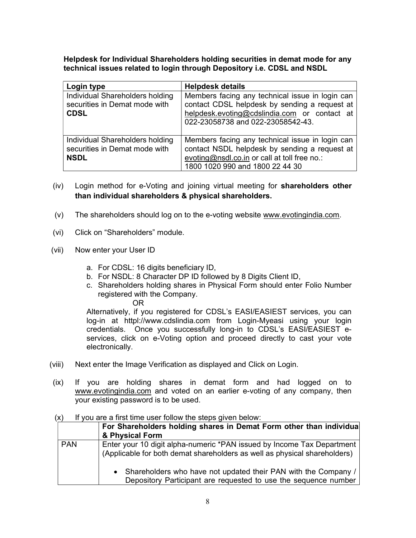Helpdesk for Individual Shareholders holding securities in demat mode for any technical issues related to login through Depository i.e. CDSL and NSDL

| Login type                                                                      | <b>Helpdesk details</b>                                                                                                                                                               |
|---------------------------------------------------------------------------------|---------------------------------------------------------------------------------------------------------------------------------------------------------------------------------------|
| Individual Shareholders holding<br>securities in Demat mode with<br><b>CDSL</b> | Members facing any technical issue in login can<br>contact CDSL helpdesk by sending a request at<br>helpdesk.evoting@cdslindia.com or contact at<br>022-23058738 and 022-23058542-43. |
| Individual Shareholders holding<br>securities in Demat mode with<br><b>NSDL</b> | Members facing any technical issue in login can<br>contact NSDL helpdesk by sending a request at<br>evoting@nsdl.co.in or call at toll free no.:<br>1800 1020 990 and 1800 22 44 30   |

- (iv) Login method for e-Voting and joining virtual meeting for shareholders other than individual shareholders & physical shareholders.
- (v) The shareholders should log on to the e-voting website www.evotingindia.com.
- (vi) Click on "Shareholders" module.
- (vii) Now enter your User ID
	- a. For CDSL: 16 digits beneficiary ID,
	- b. For NSDL: 8 Character DP ID followed by 8 Digits Client ID,
	- c. Shareholders holding shares in Physical Form should enter Folio Number registered with the Company.

OR

Alternatively, if you registered for CDSL's EASI/EASIEST services, you can log-in at httpl://www.cdslindia.com from Login-Myeasi using your login credentials. Once you successfully long-in to CDSL's EASI/EASIEST eservices, click on e-Voting option and proceed directly to cast your vote electronically.

- (viii) Next enter the Image Verification as displayed and Click on Login.
- (ix) If you are holding shares in demat form and had logged on to www.evotingindia.com and voted on an earlier e-voting of any company, then your existing password is to be used.

#### $(x)$  If you are a first time user follow the steps given below:

|            | For Shareholders holding shares in Demat Form other than individual<br>& Physical Form                                                              |
|------------|-----------------------------------------------------------------------------------------------------------------------------------------------------|
| <b>PAN</b> | Enter your 10 digit alpha-numeric *PAN issued by Income Tax Department<br>(Applicable for both demat shareholders as well as physical shareholders) |
|            | Shareholders who have not updated their PAN with the Company /<br>Depository Participant are requested to use the sequence number                   |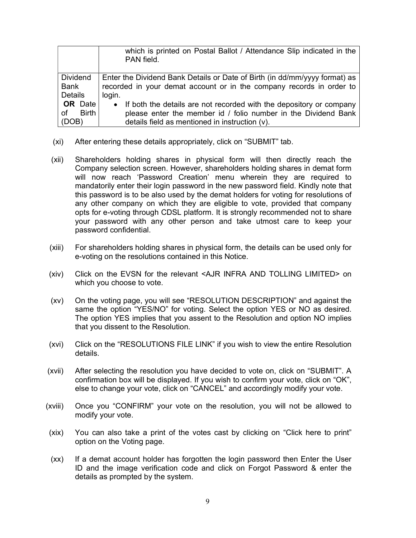|                    | which is printed on Postal Ballot / Attendance Slip indicated in the<br>PAN field. |
|--------------------|------------------------------------------------------------------------------------|
| <b>Dividend</b>    | Enter the Dividend Bank Details or Date of Birth (in dd/mm/yyyy format) as         |
| Bank               | recorded in your demat account or in the company records in order to               |
| <b>Details</b>     | login.                                                                             |
| <b>OR</b> Date     | If both the details are not recorded with the depository or company<br>$\bullet$   |
| <b>Birth</b><br>οf | please enter the member id / folio number in the Dividend Bank                     |
| (DOB)              | details field as mentioned in instruction (v).                                     |

- (xi) After entering these details appropriately, click on "SUBMIT" tab.
- (xii) Shareholders holding shares in physical form will then directly reach the Company selection screen. However, shareholders holding shares in demat form will now reach 'Password Creation' menu wherein they are required to mandatorily enter their login password in the new password field. Kindly note that this password is to be also used by the demat holders for voting for resolutions of any other company on which they are eligible to vote, provided that company opts for e-voting through CDSL platform. It is strongly recommended not to share your password with any other person and take utmost care to keep your password confidential.
- (xiii) For shareholders holding shares in physical form, the details can be used only for e-voting on the resolutions contained in this Notice.
- (xiv) Click on the EVSN for the relevant <AJR INFRA AND TOLLING LIMITED> on which you choose to vote.
- (xv) On the voting page, you will see "RESOLUTION DESCRIPTION" and against the same the option "YES/NO" for voting. Select the option YES or NO as desired. The option YES implies that you assent to the Resolution and option NO implies that you dissent to the Resolution.
- (xvi) Click on the "RESOLUTIONS FILE LINK" if you wish to view the entire Resolution details.
- (xvii) After selecting the resolution you have decided to vote on, click on "SUBMIT". A confirmation box will be displayed. If you wish to confirm your vote, click on "OK", else to change your vote, click on "CANCEL" and accordingly modify your vote.
- (xviii) Once you "CONFIRM" your vote on the resolution, you will not be allowed to modify your vote.
- (xix) You can also take a print of the votes cast by clicking on "Click here to print" option on the Voting page.
- (xx) If a demat account holder has forgotten the login password then Enter the User ID and the image verification code and click on Forgot Password & enter the details as prompted by the system.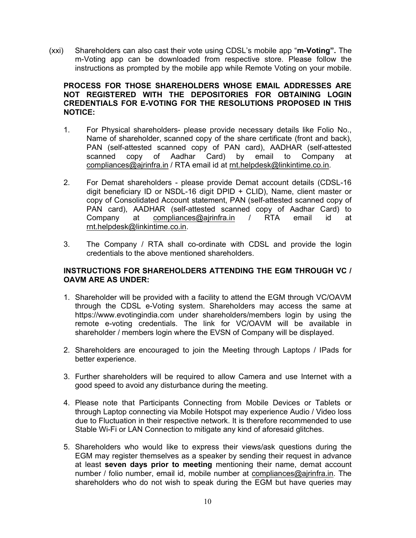(xxi) Shareholders can also cast their vote using CDSL's mobile app "m-Voting". The m-Voting app can be downloaded from respective store. Please follow the instructions as prompted by the mobile app while Remote Voting on your mobile.

# PROCESS FOR THOSE SHAREHOLDERS WHOSE EMAIL ADDRESSES ARE NOT REGISTERED WITH THE DEPOSITORIES FOR OBTAINING LOGIN CREDENTIALS FOR E-VOTING FOR THE RESOLUTIONS PROPOSED IN THIS NOTICE:

- 1. For Physical shareholders- please provide necessary details like Folio No., Name of shareholder, scanned copy of the share certificate (front and back), PAN (self-attested scanned copy of PAN card), AADHAR (self-attested scanned copy of Aadhar Card) by email to Company at compliances@ajrinfra.in / RTA email id at rnt.helpdesk@linkintime.co.in.
- 2. For Demat shareholders please provide Demat account details (CDSL-16 digit beneficiary ID or NSDL-16 digit DPID + CLID), Name, client master or copy of Consolidated Account statement, PAN (self-attested scanned copy of PAN card), AADHAR (self-attested scanned copy of Aadhar Card) to Company at compliances@ajrinfra.in / RTA email id at rnt.helpdesk@linkintime.co.in.
- 3. The Company / RTA shall co-ordinate with CDSL and provide the login credentials to the above mentioned shareholders.

# INSTRUCTIONS FOR SHAREHOLDERS ATTENDING THE EGM THROUGH VC / OAVM ARE AS UNDER:

- 1. Shareholder will be provided with a facility to attend the EGM through VC/OAVM through the CDSL e-Voting system. Shareholders may access the same at https://www.evotingindia.com under shareholders/members login by using the remote e-voting credentials. The link for VC/OAVM will be available in shareholder / members login where the EVSN of Company will be displayed.
- 2. Shareholders are encouraged to join the Meeting through Laptops / IPads for better experience.
- 3. Further shareholders will be required to allow Camera and use Internet with a good speed to avoid any disturbance during the meeting.
- 4. Please note that Participants Connecting from Mobile Devices or Tablets or through Laptop connecting via Mobile Hotspot may experience Audio / Video loss due to Fluctuation in their respective network. It is therefore recommended to use Stable Wi-Fi or LAN Connection to mitigate any kind of aforesaid glitches.
- 5. Shareholders who would like to express their views/ask questions during the EGM may register themselves as a speaker by sending their request in advance at least seven days prior to meeting mentioning their name, demat account number / folio number, email id, mobile number at compliances@ajrinfra.in. The shareholders who do not wish to speak during the EGM but have queries may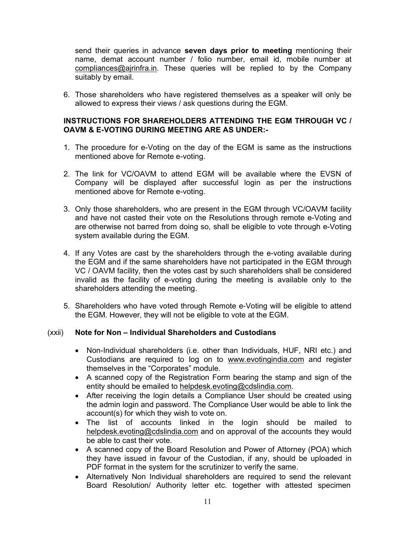send their queries in advance seven days prior to meeting mentioning their name, demat account number / folio number, email id, mobile number at compliances@ajrinfra.in. These queries will be replied to by the Company suitably by email.

6. Those shareholders who have registered themselves as a speaker will only be allowed to express their views / ask questions during the EGM.

# INSTRUCTIONS FOR SHAREHOLDERS ATTENDING THE EGM THROUGH VC / OAVM & E-VOTING DURING MEETING ARE AS UNDER:-

- 1. The procedure for e-Voting on the day of the EGM is same as the instructions mentioned above for Remote e-voting.
- 2. The link for VC/OAVM to attend EGM will be available where the EVSN of Company will be displayed after successful login as per the instructions mentioned above for Remote e-voting.
- 3. Only those shareholders, who are present in the EGM through VC/OAVM facility and have not casted their vote on the Resolutions through remote e-Voting and are otherwise not barred from doing so, shall be eligible to vote through e-Voting system available during the EGM.
- 4. If any Votes are cast by the shareholders through the e-voting available during the EGM and if the same shareholders have not participated in the EGM through VC / OAVM facility, then the votes cast by such shareholders shall be considered invalid as the facility of e-voting during the meeting is available only to the shareholders attending the meeting.
- 5. Shareholders who have voted through Remote e-Voting will be eligible to attend the EGM. However, they will not be eligible to vote at the EGM.

# (xxii) Note for Non – Individual Shareholders and Custodians

- Non-Individual shareholders (i.e. other than Individuals, HUF, NRI etc.) and Custodians are required to log on to www.evotingindia.com and register themselves in the "Corporates" module.
- A scanned copy of the Registration Form bearing the stamp and sign of the entity should be emailed to helpdesk.evoting@cdslindia.com.
- After receiving the login details a Compliance User should be created using the admin login and password. The Compliance User would be able to link the account(s) for which they wish to vote on.
- The list of accounts linked in the login should be mailed to helpdesk.evoting@cdslindia.com and on approval of the accounts they would be able to cast their vote.
- A scanned copy of the Board Resolution and Power of Attorney (POA) which they have issued in favour of the Custodian, if any, should be uploaded in PDF format in the system for the scrutinizer to verify the same.
- Alternatively Non Individual shareholders are required to send the relevant Board Resolution/ Authority letter etc. together with attested specimen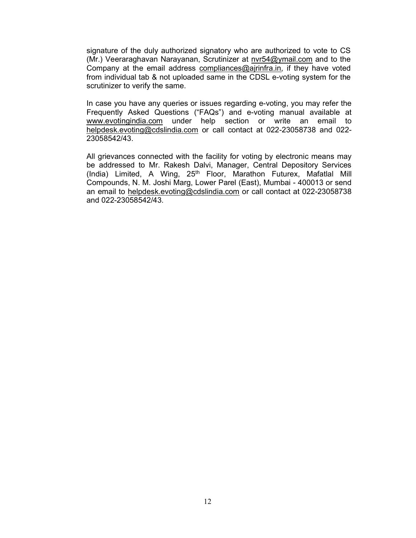signature of the duly authorized signatory who are authorized to vote to CS (Mr.) Veeraraghavan Narayanan, Scrutinizer at nvr54@ymail.com and to the Company at the email address compliances@ajrinfra.in, if they have voted from individual tab & not uploaded same in the CDSL e-voting system for the scrutinizer to verify the same.

In case you have any queries or issues regarding e-voting, you may refer the Frequently Asked Questions ("FAQs") and e-voting manual available at www.evotingindia.com under help section or write an email to helpdesk.evoting@cdslindia.com or call contact at 022-23058738 and 022- 23058542/43.

All grievances connected with the facility for voting by electronic means may be addressed to Mr. Rakesh Dalvi, Manager, Central Depository Services (India) Limited, A Wing, 25<sup>th</sup> Floor, Marathon Futurex, Mafatlal Mill Compounds, N. M. Joshi Marg, Lower Parel (East), Mumbai - 400013 or send an email to helpdesk.evoting@cdslindia.com or call contact at 022-23058738 and 022-23058542/43.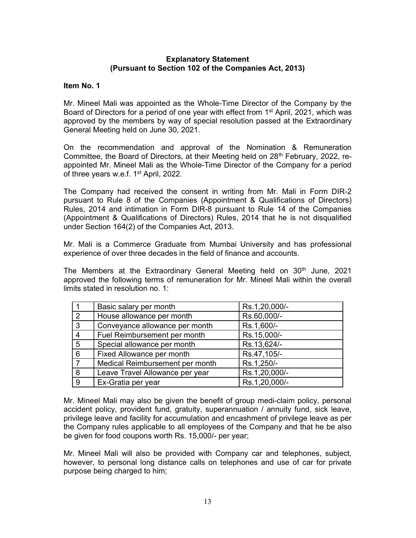#### Explanatory Statement (Pursuant to Section 102 of the Companies Act, 2013)

#### Item No. 1

Mr. Mineel Mali was appointed as the Whole-Time Director of the Company by the Board of Directors for a period of one year with effect from 1<sup>st</sup> April, 2021, which was approved by the members by way of special resolution passed at the Extraordinary General Meeting held on June 30, 2021.

On the recommendation and approval of the Nomination & Remuneration Committee, the Board of Directors, at their Meeting held on  $28<sup>th</sup>$  February, 2022, reappointed Mr. Mineel Mali as the Whole-Time Director of the Company for a period of three years w.e.f. 1<sup>st</sup> April, 2022.

The Company had received the consent in writing from Mr. Mali in Form DIR-2 pursuant to Rule 8 of the Companies (Appointment & Qualifications of Directors) Rules, 2014 and intimation in Form DIR-8 pursuant to Rule 14 of the Companies (Appointment & Qualifications of Directors) Rules, 2014 that he is not disqualified under Section 164(2) of the Companies Act, 2013.

Mr. Mali is a Commerce Graduate from Mumbai University and has professional experience of over three decades in the field of finance and accounts.

The Members at the Extraordinary General Meeting held on 30<sup>th</sup> June, 2021 approved the following terms of remuneration for Mr. Mineel Mali within the overall limits stated in resolution no. 1:

|                 | Basic salary per month          | Rs.1,20,000/- |
|-----------------|---------------------------------|---------------|
| 2               | House allowance per month       | Rs.60,000/-   |
| $\overline{3}$  | Conveyance allowance per month  | Rs.1,600/-    |
| $\overline{4}$  | Fuel Reimbursement per month    | Rs.15,000/-   |
| $5\phantom{.0}$ | Special allowance per month     | Rs.13,624/-   |
| 6               | Fixed Allowance per month       | Rs.47,105/-   |
|                 | Medical Reimbursement per month | Rs.1,250/-    |
| 8 <sub>1</sub>  | Leave Travel Allowance per year | Rs.1,20,000/- |
| 9               | Ex-Gratia per year              | Rs.1,20,000/- |

Mr. Mineel Mali may also be given the benefit of group medi-claim policy, personal accident policy, provident fund, gratuity, superannuation / annuity fund, sick leave, privilege leave and facility for accumulation and encashment of privilege leave as per the Company rules applicable to all employees of the Company and that he be also be given for food coupons worth Rs. 15,000/- per year;

Mr. Mineel Mali will also be provided with Company car and telephones, subject, however, to personal long distance calls on telephones and use of car for private purpose being charged to him;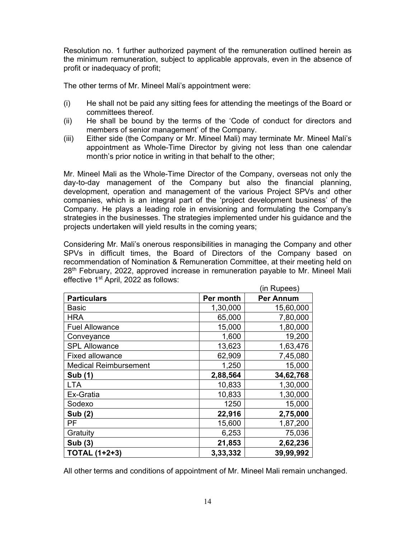Resolution no. 1 further authorized payment of the remuneration outlined herein as the minimum remuneration, subject to applicable approvals, even in the absence of profit or inadequacy of profit;

The other terms of Mr. Mineel Mali's appointment were:

- (i) He shall not be paid any sitting fees for attending the meetings of the Board or committees thereof.
- (ii) He shall be bound by the terms of the 'Code of conduct for directors and members of senior management' of the Company.
- (iii) Either side (the Company or Mr. Mineel Mali) may terminate Mr. Mineel Mali's appointment as Whole-Time Director by giving not less than one calendar month's prior notice in writing in that behalf to the other;

Mr. Mineel Mali as the Whole-Time Director of the Company, overseas not only the day-to-day management of the Company but also the financial planning, development, operation and management of the various Project SPVs and other companies, which is an integral part of the 'project development business' of the Company. He plays a leading role in envisioning and formulating the Company's strategies in the businesses. The strategies implemented under his guidance and the projects undertaken will yield results in the coming years;

Considering Mr. Mali's onerous responsibilities in managing the Company and other SPVs in difficult times, the Board of Directors of the Company based on recommendation of Nomination & Remuneration Committee, at their meeting held on 28<sup>th</sup> February, 2022, approved increase in remuneration payable to Mr. Mineel Mali effective 1<sup>st</sup> April, 2022 as follows:

|                              |           | (in Rupees)      |
|------------------------------|-----------|------------------|
| <b>Particulars</b>           | Per month | <b>Per Annum</b> |
| <b>Basic</b>                 | 1,30,000  | 15,60,000        |
| <b>HRA</b>                   | 65,000    | 7,80,000         |
| <b>Fuel Allowance</b>        | 15,000    | 1,80,000         |
| Conveyance                   | 1,600     | 19,200           |
| <b>SPL Allowance</b>         | 13,623    | 1,63,476         |
| <b>Fixed allowance</b>       | 62,909    | 7,45,080         |
| <b>Medical Reimbursement</b> | 1,250     | 15,000           |
| Sub (1)                      | 2,88,564  | 34,62,768        |
| <b>LTA</b>                   | 10,833    | 1,30,000         |
| Ex-Gratia                    | 10,833    | 1,30,000         |
| Sodexo                       | 1250      | 15,000           |
| <b>Sub (2)</b>               | 22,916    | 2,75,000         |
| PF                           | 15,600    | 1,87,200         |
| Gratuity                     | 6,253     | 75,036           |
| Sub (3)                      | 21,853    | 2,62,236         |
| <b>TOTAL (1+2+3)</b>         | 3,33,332  | 39,99,992        |

All other terms and conditions of appointment of Mr. Mineel Mali remain unchanged.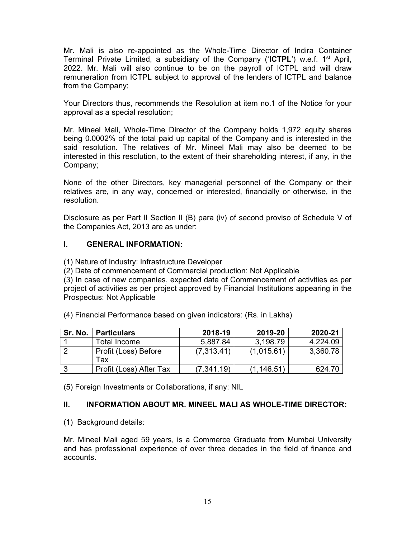Mr. Mali is also re-appointed as the Whole-Time Director of Indira Container Terminal Private Limited, a subsidiary of the Company ('ICTPL') w.e.f. 1<sup>st</sup> April, 2022. Mr. Mali will also continue to be on the payroll of ICTPL and will draw remuneration from ICTPL subject to approval of the lenders of ICTPL and balance from the Company;

Your Directors thus, recommends the Resolution at item no.1 of the Notice for your approval as a special resolution;

Mr. Mineel Mali, Whole-Time Director of the Company holds 1,972 equity shares being 0.0002% of the total paid up capital of the Company and is interested in the said resolution. The relatives of Mr. Mineel Mali may also be deemed to be interested in this resolution, to the extent of their shareholding interest, if any, in the Company;

None of the other Directors, key managerial personnel of the Company or their relatives are, in any way, concerned or interested, financially or otherwise, in the resolution.

Disclosure as per Part II Section II (B) para (iv) of second proviso of Schedule V of the Companies Act, 2013 are as under:

# I. GENERAL INFORMATION:

(1) Nature of Industry: Infrastructure Developer

(2) Date of commencement of Commercial production: Not Applicable

(3) In case of new companies, expected date of Commencement of activities as per project of activities as per project approved by Financial Institutions appearing in the Prospectus: Not Applicable

(4) Financial Performance based on given indicators: (Rs. in Lakhs)

| Sr. No. | <b>Particulars</b>      | 2018-19     | 2019-20     | 2020-21  |
|---------|-------------------------|-------------|-------------|----------|
|         | Total Income            | 5,887.84    | 3,198.79    | 4.224.09 |
|         | Profit (Loss) Before    | (7,313.41)  | (1,015.61)  | 3,360.78 |
|         | Tax                     |             |             |          |
| l 3     | Profit (Loss) After Tax | (7, 341.19) | (1, 146.51) | 624.70   |

(5) Foreign Investments or Collaborations, if any: NIL

# II. INFORMATION ABOUT MR. MINEEL MALI AS WHOLE-TIME DIRECTOR:

(1) Background details:

Mr. Mineel Mali aged 59 years, is a Commerce Graduate from Mumbai University and has professional experience of over three decades in the field of finance and accounts.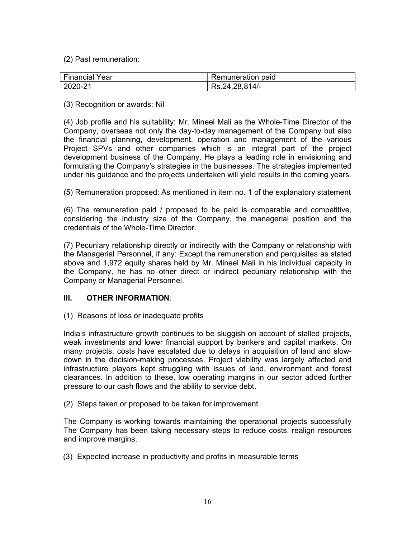(2) Past remuneration:

| Financial Year | Remuneration paid |
|----------------|-------------------|
| 2020-21        | Rs.24,28,814/-    |

(3) Recognition or awards: Nil

(4) Job profile and his suitability: Mr. Mineel Mali as the Whole-Time Director of the Company, overseas not only the day-to-day management of the Company but also the financial planning, development, operation and management of the various Project SPVs and other companies which is an integral part of the project development business of the Company. He plays a leading role in envisioning and formulating the Company's strategies in the businesses. The strategies implemented under his guidance and the projects undertaken will yield results in the coming years.

(5) Remuneration proposed: As mentioned in item no. 1 of the explanatory statement

(6) The remuneration paid / proposed to be paid is comparable and competitive, considering the industry size of the Company, the managerial position and the credentials of the Whole-Time Director.

(7) Pecuniary relationship directly or indirectly with the Company or relationship with the Managerial Personnel, if any: Except the remuneration and perquisites as stated above and 1,972 equity shares held by Mr. Mineel Mali in his individual capacity in the Company, he has no other direct or indirect pecuniary relationship with the Company or Managerial Personnel.

# III. OTHER INFORMATION:

(1) Reasons of loss or inadequate profits

India's infrastructure growth continues to be sluggish on account of stalled projects, weak investments and lower financial support by bankers and capital markets. On many projects, costs have escalated due to delays in acquisition of land and slowdown in the decision-making processes. Project viability was largely affected and infrastructure players kept struggling with issues of land, environment and forest clearances. In addition to these, low operating margins in our sector added further pressure to our cash flows and the ability to service debt.

(2) Steps taken or proposed to be taken for improvement

The Company is working towards maintaining the operational projects successfully The Company has been taking necessary steps to reduce costs, realign resources and improve margins.

(3) Expected increase in productivity and profits in measurable terms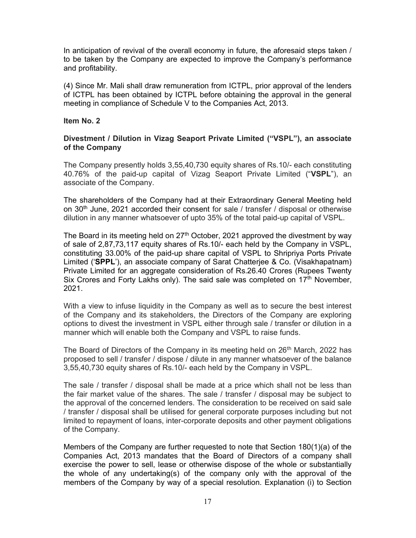In anticipation of revival of the overall economy in future, the aforesaid steps taken / to be taken by the Company are expected to improve the Company's performance and profitability.

(4) Since Mr. Mali shall draw remuneration from ICTPL, prior approval of the lenders of ICTPL has been obtained by ICTPL before obtaining the approval in the general meeting in compliance of Schedule V to the Companies Act, 2013.

#### Item No. 2

# Divestment / Dilution in Vizag Seaport Private Limited ("VSPL"), an associate of the Company

The Company presently holds 3,55,40,730 equity shares of Rs.10/- each constituting 40.76% of the paid-up capital of Vizag Seaport Private Limited ("VSPL"), an associate of the Company.

The shareholders of the Company had at their Extraordinary General Meeting held on  $30<sup>th</sup>$  June, 2021 accorded their consent for sale / transfer / disposal or otherwise dilution in any manner whatsoever of upto 35% of the total paid-up capital of VSPL.

The Board in its meeting held on  $27<sup>th</sup>$  October, 2021 approved the divestment by way of sale of 2,87,73,117 equity shares of Rs.10/- each held by the Company in VSPL, constituting 33.00% of the paid-up share capital of VSPL to Shripriya Ports Private Limited ('SPPL'), an associate company of Sarat Chatterjee & Co. (Visakhapatnam) Private Limited for an aggregate consideration of Rs.26.40 Crores (Rupees Twenty Six Crores and Forty Lakhs only). The said sale was completed on  $17<sup>th</sup>$  November, 2021.

With a view to infuse liquidity in the Company as well as to secure the best interest of the Company and its stakeholders, the Directors of the Company are exploring options to divest the investment in VSPL either through sale / transfer or dilution in a manner which will enable both the Company and VSPL to raise funds.

The Board of Directors of the Company in its meeting held on 26<sup>th</sup> March, 2022 has proposed to sell / transfer / dispose / dilute in any manner whatsoever of the balance 3,55,40,730 equity shares of Rs.10/- each held by the Company in VSPL.

The sale / transfer / disposal shall be made at a price which shall not be less than the fair market value of the shares. The sale / transfer / disposal may be subject to the approval of the concerned lenders. The consideration to be received on said sale / transfer / disposal shall be utilised for general corporate purposes including but not limited to repayment of loans, inter-corporate deposits and other payment obligations of the Company.

Members of the Company are further requested to note that Section 180(1)(a) of the Companies Act, 2013 mandates that the Board of Directors of a company shall exercise the power to sell, lease or otherwise dispose of the whole or substantially the whole of any undertaking(s) of the company only with the approval of the members of the Company by way of a special resolution. Explanation (i) to Section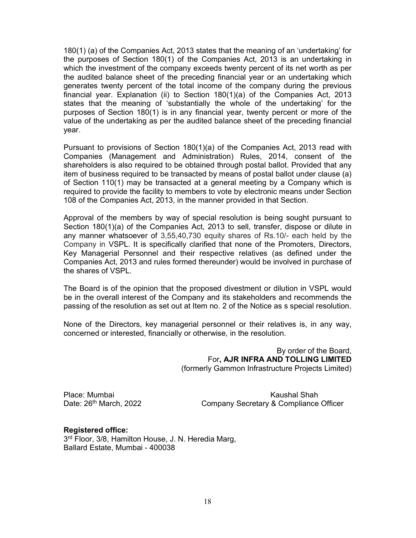180(1) (a) of the Companies Act, 2013 states that the meaning of an 'undertaking' for the purposes of Section 180(1) of the Companies Act, 2013 is an undertaking in which the investment of the company exceeds twenty percent of its net worth as per the audited balance sheet of the preceding financial year or an undertaking which generates twenty percent of the total income of the company during the previous financial year. Explanation (ii) to Section 180(1)(a) of the Companies Act, 2013 states that the meaning of 'substantially the whole of the undertaking' for the purposes of Section 180(1) is in any financial year, twenty percent or more of the value of the undertaking as per the audited balance sheet of the preceding financial year.

Pursuant to provisions of Section 180(1)(a) of the Companies Act, 2013 read with Companies (Management and Administration) Rules, 2014, consent of the shareholders is also required to be obtained through postal ballot. Provided that any item of business required to be transacted by means of postal ballot under clause (a) of Section 110(1) may be transacted at a general meeting by a Company which is required to provide the facility to members to vote by electronic means under Section 108 of the Companies Act, 2013, in the manner provided in that Section.

Approval of the members by way of special resolution is being sought pursuant to Section 180(1)(a) of the Companies Act, 2013 to sell, transfer, dispose or dilute in any manner whatsoever of 3,55,40,730 equity shares of Rs.10/- each held by the Company in VSPL. It is specifically clarified that none of the Promoters, Directors, Key Managerial Personnel and their respective relatives (as defined under the Companies Act, 2013 and rules formed thereunder) would be involved in purchase of the shares of VSPL.

The Board is of the opinion that the proposed divestment or dilution in VSPL would be in the overall interest of the Company and its stakeholders and recommends the passing of the resolution as set out at Item no. 2 of the Notice as s special resolution.

None of the Directors, key managerial personnel or their relatives is, in any way, concerned or interested, financially or otherwise, in the resolution.

> By order of the Board, For, AJR INFRA AND TOLLING LIMITED (formerly Gammon Infrastructure Projects Limited)

Place: Mumbai Kaushal Shah Kaushal Shah Kaushal Shah Kaushal Shah Kaushal Shah Kaushal Shah Kaushal Shah Kaushal Shah Date: 26<sup>th</sup> March, 2022 Company Secretary & Compliance Officer

#### Registered office:

3 rd Floor, 3/8, Hamilton House, J. N. Heredia Marg, Ballard Estate, Mumbai - 400038